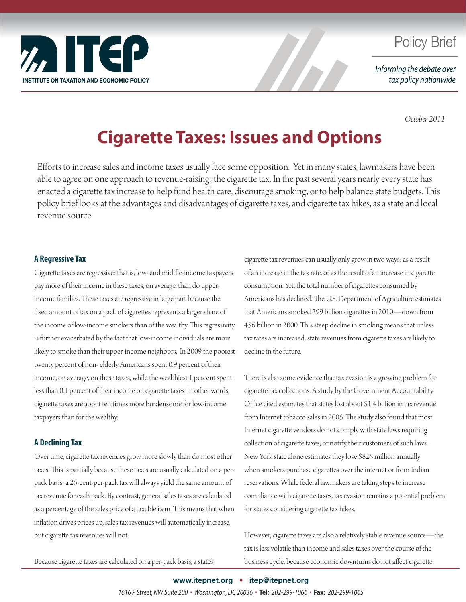

## **Policy Brief**

Informing the debate over tax policy nationwide

*October 2011*

# **Cigarette Taxes: Issues and Options**

Efforts to increase sales and income taxes usually face some opposition. Yet in many states, lawmakers have been able to agree on one approach to revenue-raising: the cigarette tax. In the past several years nearly every state has enacted a cigarette tax increase to help fund health care, discourage smoking, or to help balance state budgets. This policy brief looks at the advantages and disadvantages of cigarette taxes, and cigarette tax hikes, as a state and local revenue source.

#### **A Regressive Tax**

Cigarette taxes are regressive: that is, low- and middle-income taxpayers pay more of their income in these taxes, on average, than do upperincome families. These taxes are regressive in large part because the fixed amount of tax on a pack of cigarettes represents a larger share of the income of low-income smokers than of the wealthy. This regressivity is further exacerbated by the fact that low-income individuals are more likely to smoke than their upper-income neighbors. In 2009 the poorest twenty percent of non- elderly Americans spent 0.9 percent of their income, on average, on these taxes, while the wealthiest 1 percent spent less than 0.1 percent of their income on cigarette taxes. In other words, cigarette taxes are about ten times more burdensome for low-income taxpayers than for the wealthy.

### **A Declining Tax**

Over time, cigarette tax revenues grow more slowly than do most other taxes. This is partially because these taxes are usually calculated on a perpack basis: a 25-cent-per-pack tax will always yield the same amount of tax revenue for each pack. By contrast, general sales taxes are calculated as a percentage of the sales price of a taxable item. This means that when inflation drives prices up, sales tax revenues will automatically increase, but cigarette tax revenues will not.

cigarette tax revenues can usually only grow in two ways: as a result of an increase in the tax rate, or as the result of an increase in cigarette consumption. Yet, the total number of cigarettes consumed by Americans has declined. The U.S. Department of Agriculture estimates that Americans smoked 299 billion cigarettes in 2010—down from 456 billion in 2000. This steep decline in smoking means that unless tax rates are increased, state revenues from cigarette taxes are likely to decline in the future.

There is also some evidence that tax evasion is a growing problem for cigarette tax collections. A study by the Government Accountability Office cited estimates that states lost about \$1.4 billion in tax revenue from Internet tobacco sales in 2005. The study also found that most Internet cigarette vendors do not comply with state laws requiring collection of cigarette taxes, or notify their customers of such laws. New York state alone estimates they lose \$825 million annually when smokers purchase cigarettes over the internet or from Indian reservations. While federal lawmakers are taking steps to increase compliance with cigarette taxes, tax evasion remains a potential problem for states considering cigarette tax hikes.

However, cigarette taxes are also a relatively stable revenue source—the tax is less volatile than income and sales taxes over the course of the business cycle, because economic downturns do not affect cigarette

Because cigarette taxes are calculated on a per-pack basis, a state's